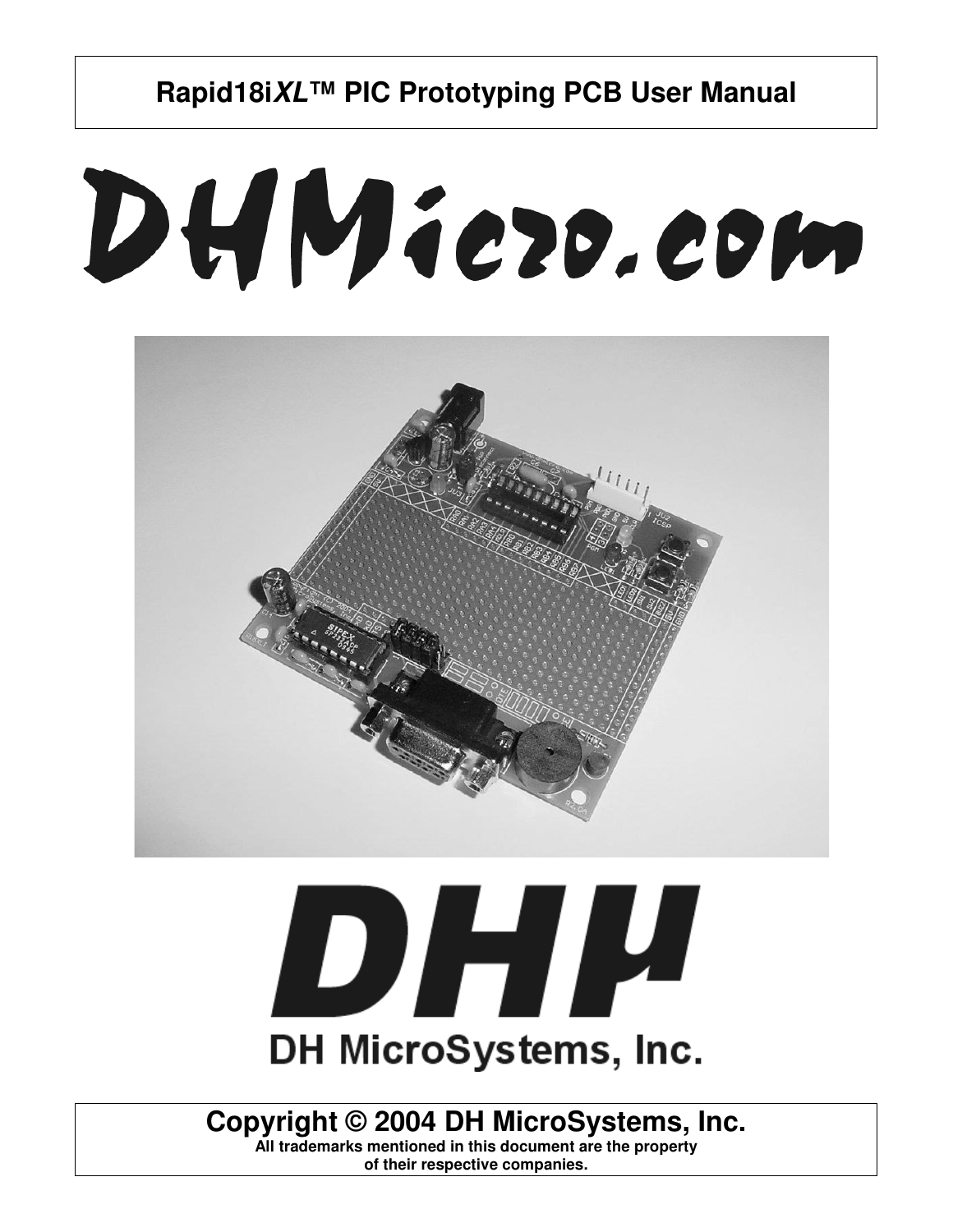# DHMiezo.com



# DHIL DH MicroSystems, Inc.

# **Copyright © 2004 DH MicroSystems, Inc.**

**All trademarks mentioned in this document are the property of their respective companies.**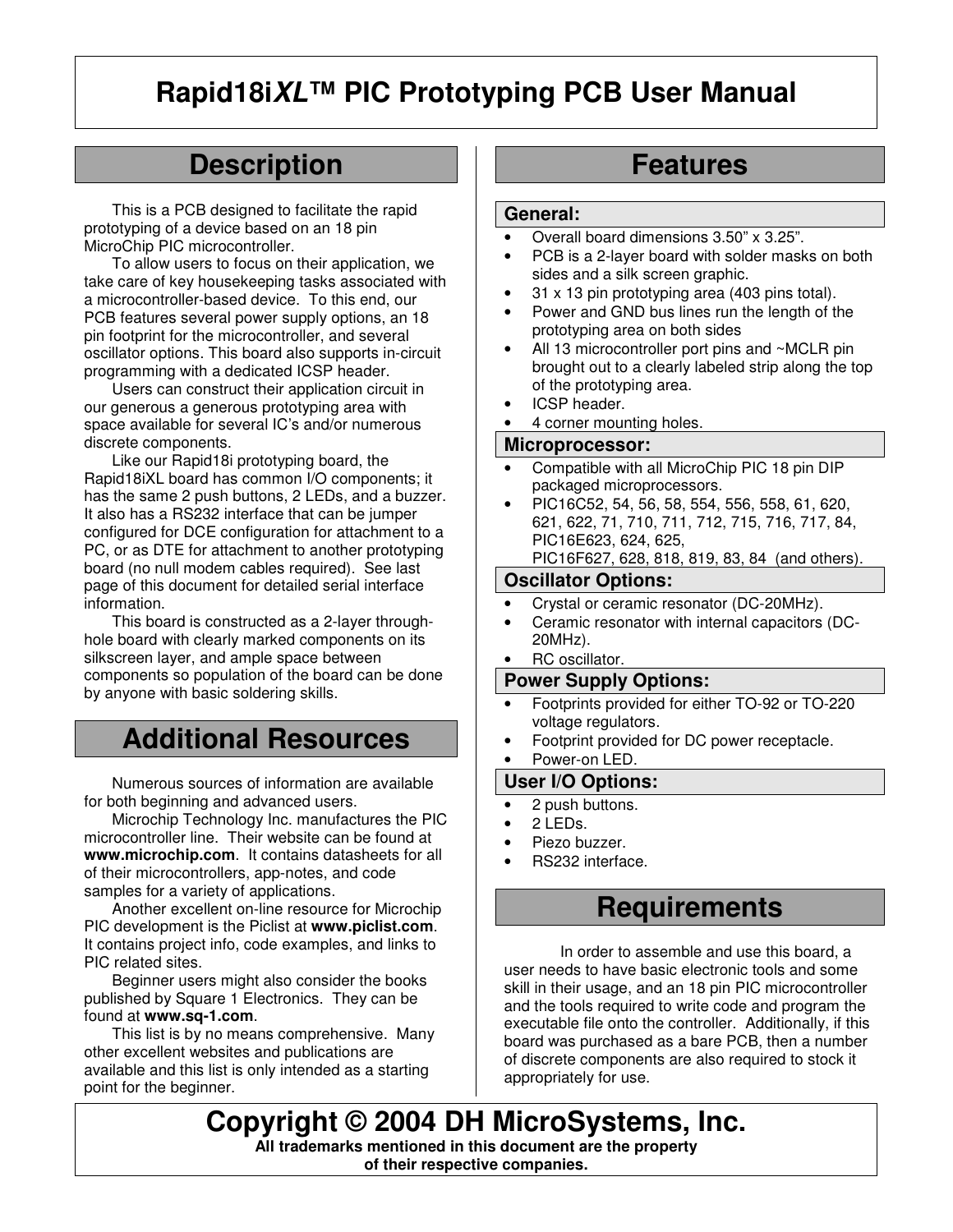# **Description**

This is a PCB designed to facilitate the rapid prototyping of a device based on an 18 pin MicroChip PIC microcontroller.

To allow users to focus on their application, we take care of key housekeeping tasks associated with a microcontroller-based device. To this end, our PCB features several power supply options, an 18 pin footprint for the microcontroller, and several oscillator options. This board also supports in-circuit programming with a dedicated ICSP header.

Users can construct their application circuit in our generous a generous prototyping area with space available for several IC's and/or numerous discrete components.

Like our Rapid18i prototyping board, the Rapid18iXL board has common I/O components; it has the same 2 push buttons, 2 LEDs, and a buzzer. It also has a RS232 interface that can be jumper configured for DCE configuration for attachment to a PC, or as DTE for attachment to another prototyping board (no null modem cables required). See last page of this document for detailed serial interface information.

This board is constructed as a 2-layer throughhole board with clearly marked components on its silkscreen layer, and ample space between components so population of the board can be done by anyone with basic soldering skills.

# **Additional Resources**

Numerous sources of information are available for both beginning and advanced users.

Microchip Technology Inc. manufactures the PIC microcontroller line. Their website can be found at **www.microchip.com**. It contains datasheets for all of their microcontrollers, app-notes, and code samples for a variety of applications.

Another excellent on-line resource for Microchip PIC development is the Piclist at **www.piclist.com**. It contains project info, code examples, and links to PIC related sites.

Beginner users might also consider the books published by Square 1 Electronics. They can be found at **www.sq-1.com**.

This list is by no means comprehensive. Many other excellent websites and publications are available and this list is only intended as a starting point for the beginner.

# **Features**

#### **General:**

- Overall board dimensions 3.50" x 3.25".
- PCB is a 2-layer board with solder masks on both sides and a silk screen graphic.
- 31 x 13 pin prototyping area (403 pins total).
- Power and GND bus lines run the length of the prototyping area on both sides
- All 13 microcontroller port pins and ~MCLR pin brought out to a clearly labeled strip along the top of the prototyping area.
- ICSP header.
- 4 corner mounting holes.

#### **Microprocessor:**

- Compatible with all MicroChip PIC 18 pin DIP packaged microprocessors.
- PIC16C52, 54, 56, 58, 554, 556, 558, 61, 620, 621, 622, 71, 710, 711, 712, 715, 716, 717, 84, PIC16E623, 624, 625, PIC16F627, 628, 818, 819, 83, 84 (and others).

#### **Oscillator Options:**

- Crystal or ceramic resonator (DC-20MHz).
- Ceramic resonator with internal capacitors (DC-20MHz).
- RC oscillator.

#### **Power Supply Options:**

- Footprints provided for either TO-92 or TO-220 voltage regulators.
- Footprint provided for DC power receptacle.
- Power-on LED.

#### **User I/O Options:**

- 2 push buttons.
- 2 LEDs.
- Piezo buzzer.
- RS232 interface.

#### **Requirements**

In order to assemble and use this board, a user needs to have basic electronic tools and some skill in their usage, and an 18 pin PIC microcontroller and the tools required to write code and program the executable file onto the controller. Additionally, if this board was purchased as a bare PCB, then a number of discrete components are also required to stock it appropriately for use.

**Copyright © 2004 DH MicroSystems, Inc. All trademarks mentioned in this document are the property of their respective companies.**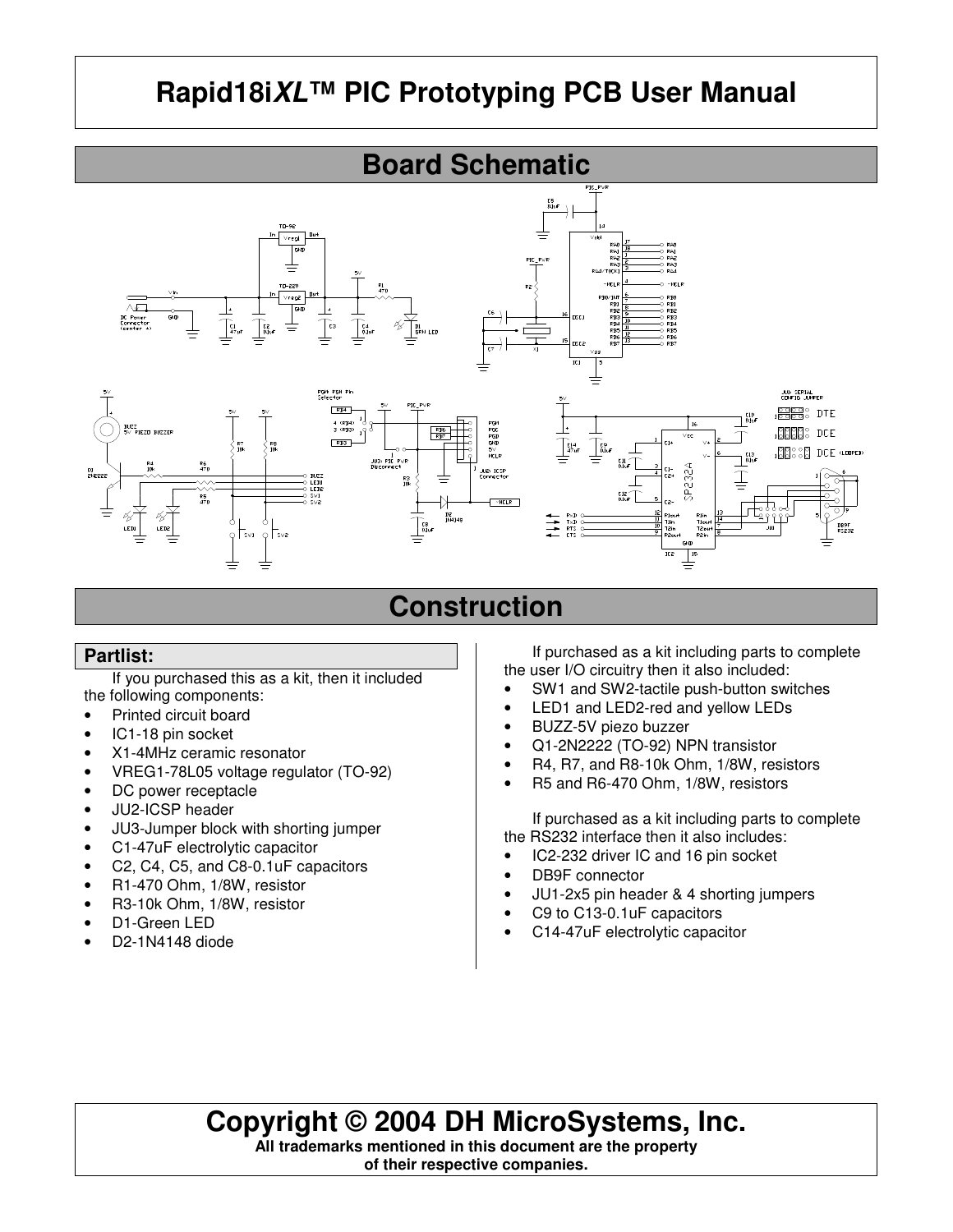

# **Construction**

#### **Partlist:**

If you purchased this as a kit, then it included the following components:

- Printed circuit board
- IC1-18 pin socket
- X1-4MHz ceramic resonator
- VREG1-78L05 voltage regulator (TO-92)
- DC power receptacle
- JU2-ICSP header
- JU3-Jumper block with shorting jumper
- C1-47uF electrolytic capacitor
- C2, C4, C5, and C8-0.1uF capacitors
- R1-470 Ohm, 1/8W, resistor
- R3-10k Ohm, 1/8W, resistor
- D1-Green LED
- D2-1N4148 diode

If purchased as a kit including parts to complete the user I/O circuitry then it also included:

- SW1 and SW2-tactile push-button switches
- LED1 and LED2-red and yellow LEDs
- BUZZ-5V piezo buzzer
- Q1-2N2222 (TO-92) NPN transistor
- R4, R7, and R8-10k Ohm, 1/8W, resistors
- R5 and R6-470 Ohm, 1/8W, resistors

If purchased as a kit including parts to complete the RS232 interface then it also includes:

- IC2-232 driver IC and 16 pin socket
- DB9F connector
- JU1-2x5 pin header & 4 shorting jumpers
- C9 to C13-0.1uF capacitors
- C14-47uF electrolytic capacitor

# **Copyright © 2004 DH MicroSystems, Inc.**

**All trademarks mentioned in this document are the property of their respective companies.**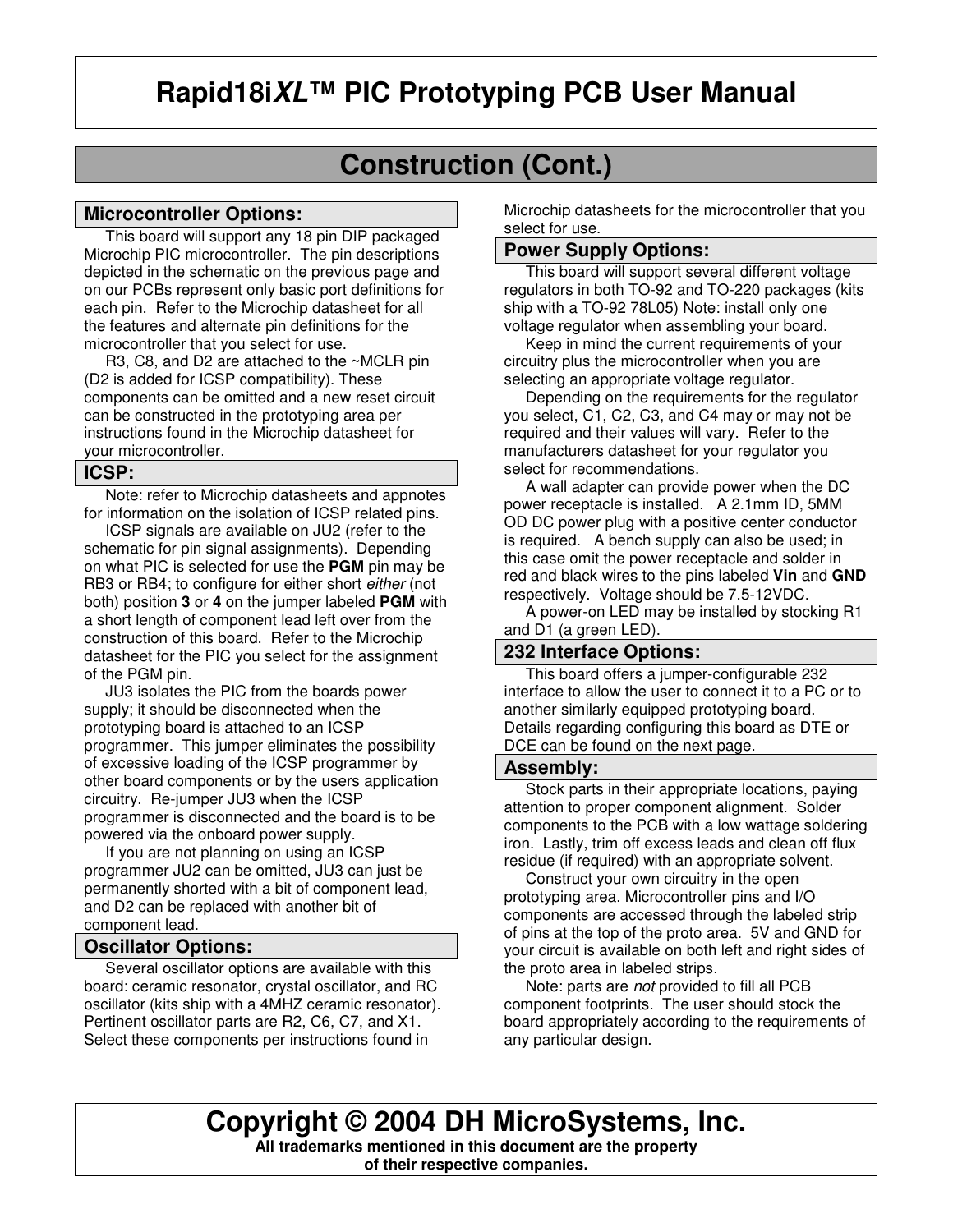# **Construction (Cont.)**

#### **Microcontroller Options:**

This board will support any 18 pin DIP packaged Microchip PIC microcontroller. The pin descriptions depicted in the schematic on the previous page and on our PCBs represent only basic port definitions for each pin. Refer to the Microchip datasheet for all the features and alternate pin definitions for the microcontroller that you select for use.

 R3, C8, and D2 are attached to the ~MCLR pin (D2 is added for ICSP compatibility). These components can be omitted and a new reset circuit can be constructed in the prototyping area per instructions found in the Microchip datasheet for your microcontroller.

#### **ICSP:**

 Note: refer to Microchip datasheets and appnotes for information on the isolation of ICSP related pins.

 ICSP signals are available on JU2 (refer to the schematic for pin signal assignments). Depending on what PIC is selected for use the **PGM** pin may be RB3 or RB4; to configure for either short *either* (not both) position **3** or **4** on the jumper labeled **PGM** with a short length of component lead left over from the construction of this board. Refer to the Microchip datasheet for the PIC you select for the assignment of the PGM pin.

 JU3 isolates the PIC from the boards power supply; it should be disconnected when the prototyping board is attached to an ICSP programmer. This jumper eliminates the possibility of excessive loading of the ICSP programmer by other board components or by the users application circuitry. Re-jumper JU3 when the ICSP programmer is disconnected and the board is to be powered via the onboard power supply.

 If you are not planning on using an ICSP programmer JU2 can be omitted, JU3 can just be permanently shorted with a bit of component lead, and D2 can be replaced with another bit of component lead.

#### **Oscillator Options:**

 Several oscillator options are available with this board: ceramic resonator, crystal oscillator, and RC oscillator (kits ship with a 4MHZ ceramic resonator). Pertinent oscillator parts are R2, C6, C7, and X1. Select these components per instructions found in

Microchip datasheets for the microcontroller that you select for use.

#### **Power Supply Options:**

 This board will support several different voltage regulators in both TO-92 and TO-220 packages (kits ship with a TO-92 78L05) Note: install only one voltage regulator when assembling your board.

 Keep in mind the current requirements of your circuitry plus the microcontroller when you are selecting an appropriate voltage regulator.

 Depending on the requirements for the regulator you select, C1, C2, C3, and C4 may or may not be required and their values will vary. Refer to the manufacturers datasheet for your regulator you select for recommendations.

 A wall adapter can provide power when the DC power receptacle is installed. A 2.1mm ID, 5MM OD DC power plug with a positive center conductor is required. A bench supply can also be used; in this case omit the power receptacle and solder in red and black wires to the pins labeled **Vin** and **GND** respectively. Voltage should be 7.5-12VDC.

 A power-on LED may be installed by stocking R1 and D1 (a green LED).

#### **232 Interface Options:**

 This board offers a jumper-configurable 232 interface to allow the user to connect it to a PC or to another similarly equipped prototyping board. Details regarding configuring this board as DTE or DCE can be found on the next page.

#### **Assembly:**

 Stock parts in their appropriate locations, paying attention to proper component alignment. Solder components to the PCB with a low wattage soldering iron. Lastly, trim off excess leads and clean off flux residue (if required) with an appropriate solvent.

 Construct your own circuitry in the open prototyping area. Microcontroller pins and I/O components are accessed through the labeled strip of pins at the top of the proto area. 5V and GND for your circuit is available on both left and right sides of the proto area in labeled strips.

 Note: parts are *not* provided to fill all PCB component footprints. The user should stock the board appropriately according to the requirements of any particular design.

**Copyright © 2004 DH MicroSystems, Inc. All trademarks mentioned in this document are the property of their respective companies.**